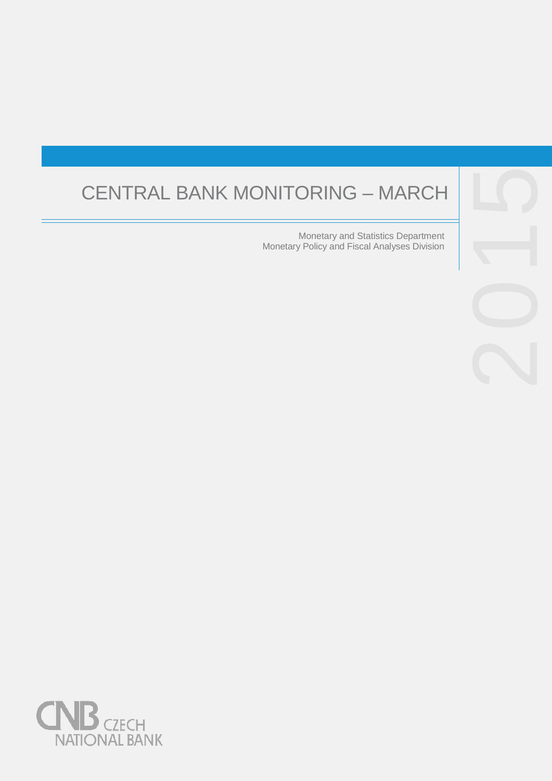# CENTRAL BANK MONITORING

Monetary and Statistics Department Monetary Policy and Fiscal Analyses Division



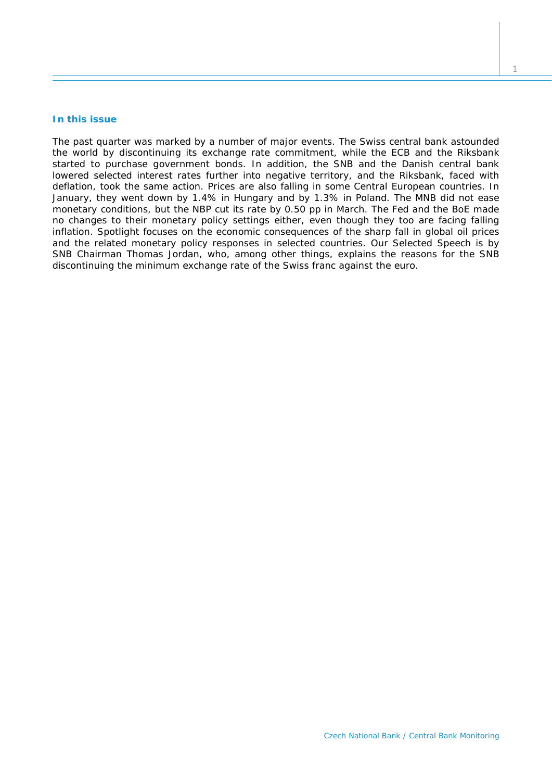## **In this issue**

*The past quarter was marked by a number of major events. The Swiss central bank astounded the world by discontinuing its exchange rate commitment, while the ECB and the Riksbank started to purchase government bonds. In addition, the SNB and the Danish central bank lowered selected interest rates further into negative territory, and the Riksbank, faced with deflation, took the same action. Prices are also falling in some Central European countries. In January, they went down by 1.4% in Hungary and by 1.3% in Poland. The MNB did not ease monetary conditions, but the NBP cut its rate by 0.50 pp in March. The Fed and the BoE made no changes to their monetary policy settings either, even though they too are facing falling inflation.* Spotlight *focuses on the economic consequences of the sharp fall in global oil prices and the related monetary policy responses in selected countries. Our* Selected Speech *is by SNB Chairman Thomas Jordan, who, among other things, explains the reasons for the SNB discontinuing the minimum exchange rate of the Swiss franc against the euro.*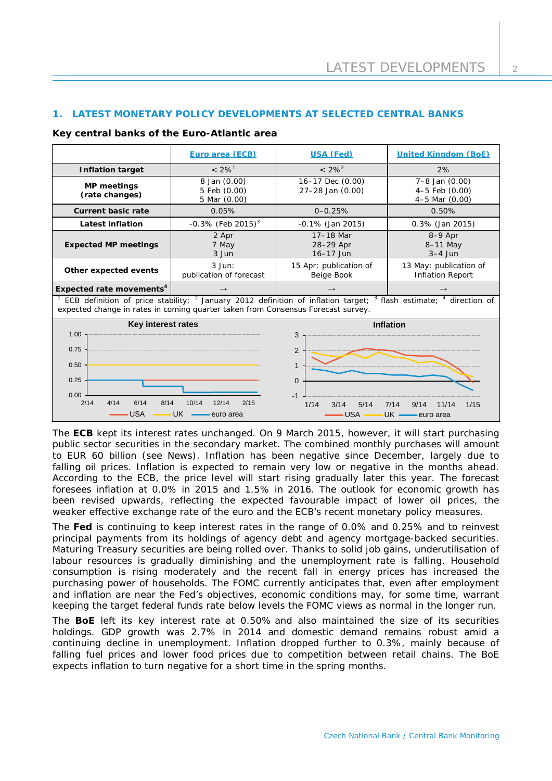# **1. LATEST MONETARY POLICY DEVELOPMENTS AT SELECTED CENTRAL BANKS**

## **Key central banks of the Euro-Atlantic area**

|                                                                                                                                                                                                                                                                                                                            | Euro area (ECB)                              | USA (Fed)                            | <b>United Kingdom (BoE)</b>                              |  |  |
|----------------------------------------------------------------------------------------------------------------------------------------------------------------------------------------------------------------------------------------------------------------------------------------------------------------------------|----------------------------------------------|--------------------------------------|----------------------------------------------------------|--|--|
| <b>Inflation target</b>                                                                                                                                                                                                                                                                                                    | $< 2\%$ <sup>1</sup>                         | $< 2\%^{2}$                          | 2%                                                       |  |  |
| <b>MP</b> meetings<br>(rate changes)                                                                                                                                                                                                                                                                                       | 8 Jan (0.00)<br>5 Feb (0.00)<br>5 Mar (0.00) | 16-17 Dec (0.00)<br>27-28 Jan (0.00) | $7 - 8$ Jan $(0.00)$<br>4-5 Feb (0.00)<br>4-5 Mar (0.00) |  |  |
| <b>Current basic rate</b>                                                                                                                                                                                                                                                                                                  | 0.05%                                        | $0 - 0.25%$                          | 0.50%                                                    |  |  |
| <b>Latest inflation</b>                                                                                                                                                                                                                                                                                                    | $-0.3\%$ (Feb 2015) <sup>3</sup>             | $-0.1\%$ (Jan 2015)                  | 0.3% (Jan 2015)                                          |  |  |
| <b>Expected MP meetings</b>                                                                                                                                                                                                                                                                                                | 2 Apr<br>7 May<br>3 Jun                      | 17-18 Mar<br>28-29 Apr<br>16-17 Jun  | $8-9$ Apr<br>8-11 May<br>$3-4$ Jun                       |  |  |
| Other expected events                                                                                                                                                                                                                                                                                                      | $3$ Jun:<br>publication of forecast          | 15 Apr: publication of<br>Beige Book | 13 May: publication of<br><b>Inflation Report</b>        |  |  |
| Expected rate movements <sup>4</sup>                                                                                                                                                                                                                                                                                       | $\rightarrow$                                |                                      | $\rightarrow$                                            |  |  |
| ECB definition of price stability; <sup>2</sup> January 2012 definition of inflation target; <sup>3</sup> flash estimate; <sup>4</sup> direction of<br>expected change in rates in coming quarter taken from Consensus Forecast survey.                                                                                    |                                              |                                      |                                                          |  |  |
| Key interest rates<br><b>Inflation</b><br>1.00<br>3<br>0.75<br>2<br>0.50<br>$\mathbf{1}$<br>0.25<br>$\Omega$<br>0.00<br>$-1$<br>2/14<br>4/14<br>10/14<br>12/14<br>6/14<br>8/14<br>2/15<br>1/14<br>3/14<br>5/14<br>7/14<br>9/14<br>11/14<br>1/15<br><b>USA</b><br><b>UK</b><br><b>USA</b><br>euro area<br>UK ·<br>euro area |                                              |                                      |                                                          |  |  |

The **ECB** kept its interest rates unchanged. On 9 March 2015, however, it will start purchasing public sector securities in the secondary market. The combined monthly purchases will amount to EUR 60 billion (see *News*). Inflation has been negative since December, largely due to falling oil prices. Inflation is expected to remain very low or negative in the months ahead. According to the ECB, the price level will start rising gradually later this year. The forecast foresees inflation at 0.0% in 2015 and 1.5% in 2016. The outlook for economic growth has been revised upwards, reflecting the expected favourable impact of lower oil prices, the weaker effective exchange rate of the euro and the ECB's recent monetary policy measures.

The **Fed** is continuing to keep interest rates in the range of 0.0% and 0.25% and to reinvest principal payments from its holdings of agency debt and agency mortgage-backed securities. Maturing Treasury securities are being rolled over. Thanks to solid job gains, underutilisation of labour resources is gradually diminishing and the unemployment rate is falling. Household consumption is rising moderately and the recent fall in energy prices has increased the purchasing power of households. The FOMC currently anticipates that, even after employment and inflation are near the Fed's objectives, economic conditions may, for some time, warrant keeping the target federal funds rate below levels the FOMC views as normal in the longer run.

The **BoE** left its key interest rate at 0.50% and also maintained the size of its securities holdings. GDP growth was 2.7% in 2014 and domestic demand remains robust amid a continuing decline in unemployment. Inflation dropped further to 0.3%, mainly because of falling fuel prices and lower food prices due to competition between retail chains. The BoE expects inflation to turn negative for a short time in the spring months.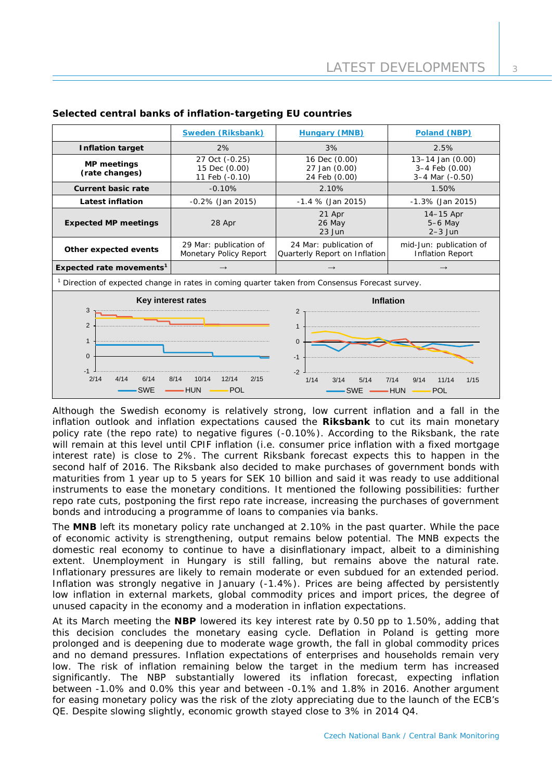|                                                                                                                                                                                   | <b>Sweden (Riksbank)</b>                          | <b>Hungary (MNB)</b>                                                                                    | Poland (NBP)                                          |  |
|-----------------------------------------------------------------------------------------------------------------------------------------------------------------------------------|---------------------------------------------------|---------------------------------------------------------------------------------------------------------|-------------------------------------------------------|--|
| <b>Inflation target</b>                                                                                                                                                           | 2%                                                | 3%                                                                                                      | 2.5%                                                  |  |
| <b>MP</b> meetings<br>(rate changes)                                                                                                                                              | 27 Oct (-0.25)<br>15 Dec (0.00)<br>11 Feb (-0.10) | 16 Dec (0.00)<br>27 Jan (0.00)<br>24 Feb (0.00)                                                         | 13-14 Jan (0.00)<br>3-4 Feb (0.00)<br>3-4 Mar (-0.50) |  |
| <b>Current basic rate</b>                                                                                                                                                         | $-0.10%$                                          | 2.10%                                                                                                   | 1.50%                                                 |  |
| <b>Latest inflation</b>                                                                                                                                                           | $-0.2\%$ (Jan 2015)                               | $-1.4$ % (Jan 2015)                                                                                     | $-1.3\%$ (Jan 2015)                                   |  |
| <b>Expected MP meetings</b>                                                                                                                                                       | 28 Apr                                            | 21 Apr<br>26 May<br>$23$ Jun                                                                            | $14-15$ Apr<br>$5-6$ May<br>$2-3$ Jun                 |  |
| Other expected events                                                                                                                                                             | 29 Mar: publication of<br>Monetary Policy Report  | 24 Mar: publication of<br>Quarterly Report on Inflation                                                 | mid-Jun: publication of<br><b>Inflation Report</b>    |  |
| Expected rate movements <sup>1</sup>                                                                                                                                              | $\rightarrow$                                     | $\rightarrow$                                                                                           | $\rightarrow$                                         |  |
| <sup>1</sup> Direction of expected change in rates in coming quarter taken from Consensus Forecast survey.                                                                        |                                                   |                                                                                                         |                                                       |  |
| Key interest rates<br>3<br>$\overline{2}$<br>$\mathbf{1}$<br>$\Omega$<br>$-1$<br>2/14<br>4/14<br>6/14<br>10/14<br>12/14<br>2/15<br>8/14<br><b>SWE</b><br><b>HUN</b><br><b>POL</b> |                                                   | <b>Inflation</b><br>2<br>$\mathbf{1}$<br>$\Omega$<br>$-1$<br>$-2$<br>1/14<br>3/14<br>5/14<br><b>SWE</b> | 11/14<br>1/15<br>7/14<br>9/14<br><b>HUN</b><br>POL    |  |

## **Selected central banks of inflation-targeting EU countries**

Although the Swedish economy is relatively strong, low current inflation and a fall in the inflation outlook and inflation expectations caused the **Riksbank** to cut its main monetary policy rate (the repo rate) to negative figures (-0.10%). According to the Riksbank, the rate will remain at this level until CPIF inflation (i.e. consumer price inflation with a fixed mortgage interest rate) is close to 2%. The current Riksbank forecast expects this to happen in the second half of 2016. The Riksbank also decided to make purchases of government bonds with maturities from 1 year up to 5 years for SEK 10 billion and said it was ready to use additional instruments to ease the monetary conditions. It mentioned the following possibilities: further repo rate cuts, postponing the first repo rate increase, increasing the purchases of government bonds and introducing a programme of loans to companies via banks.

The **MNB** left its monetary policy rate unchanged at 2.10% in the past quarter. While the pace of economic activity is strengthening, output remains below potential. The MNB expects the domestic real economy to continue to have a disinflationary impact, albeit to a diminishing extent. Unemployment in Hungary is still falling, but remains above the natural rate. Inflationary pressures are likely to remain moderate or even subdued for an extended period. Inflation was strongly negative in January (-1.4%). Prices are being affected by persistently low inflation in external markets, global commodity prices and import prices, the degree of unused capacity in the economy and a moderation in inflation expectations.

At its March meeting the **NBP** lowered its key interest rate by 0.50 pp to 1.50%, adding that this decision concludes the monetary easing cycle. Deflation in Poland is getting more prolonged and is deepening due to moderate wage growth, the fall in global commodity prices and no demand pressures. Inflation expectations of enterprises and households remain very low. The risk of inflation remaining below the target in the medium term has increased significantly. The NBP substantially lowered its inflation forecast, expecting inflation between -1.0% and 0.0% this year and between -0.1% and 1.8% in 2016. Another argument for easing monetary policy was the risk of the zloty appreciating due to the launch of the ECB's QE. Despite slowing slightly, economic growth stayed close to 3% in 2014 Q4.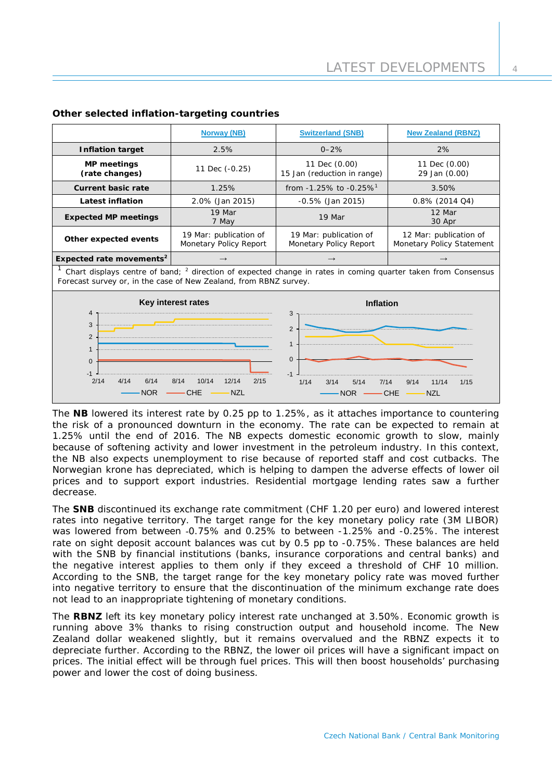|                                      | <b>Norway (NB)</b>                               | <b>Switzerland (SNB)</b>                         | <b>New Zealand (RBNZ)</b>                           |
|--------------------------------------|--------------------------------------------------|--------------------------------------------------|-----------------------------------------------------|
| <b>Inflation target</b>              | 2.5%                                             | $0 - 2%$                                         | 2%                                                  |
| <b>MP</b> meetings<br>(rate changes) | 11 Dec (-0.25)                                   | 11 Dec (0.00)<br>15 Jan (reduction in range)     | 11 Dec (0.00)<br>29 Jan (0.00)                      |
| Current basic rate                   | 1.25%                                            | from $-1.25\%$ to $-0.25\%$ <sup>1</sup>         | 3.50%                                               |
| <b>Latest inflation</b>              | 2.0% (Jan 2015)                                  | $-0.5\%$ (Jan 2015)                              | $0.8\%$ (2014 Q4)                                   |
| <b>Expected MP meetings</b>          | 19 Mar<br>7 May                                  | 19 Mar                                           | 12 Mar<br>30 Apr                                    |
| Other expected events                | 19 Mar: publication of<br>Monetary Policy Report | 19 Mar: publication of<br>Monetary Policy Report | 12 Mar: publication of<br>Monetary Policy Statement |
| Expected rate movements <sup>2</sup> | $\rightarrow$                                    | $\rightarrow$                                    | $\rightarrow$                                       |

## **Other selected inflation-targeting countries**

<sup>1</sup> Chart displays centre of band; <sup>2</sup> direction of expected change in rates in coming quarter taken from Consensus Forecast survey or, in the case of New Zealand, from RBNZ survey.



The **NB** lowered its interest rate by 0.25 pp to 1.25%, as it attaches importance to countering the risk of a pronounced downturn in the economy. The rate can be expected to remain at 1.25% until the end of 2016. The NB expects domestic economic growth to slow, mainly because of softening activity and lower investment in the petroleum industry. In this context, the NB also expects unemployment to rise because of reported staff and cost cutbacks. The Norwegian krone has depreciated, which is helping to dampen the adverse effects of lower oil prices and to support export industries. Residential mortgage lending rates saw a further decrease.

The **SNB** discontinued its exchange rate commitment (CHF 1.20 per euro) and lowered interest rates into negative territory. The target range for the key monetary policy rate (3M LIBOR) was lowered from between -0.75% and 0.25% to between -1.25% and -0.25%. The interest rate on sight deposit account balances was cut by 0.5 pp to -0.75%. These balances are held with the SNB by financial institutions (banks, insurance corporations and central banks) and the negative interest applies to them only if they exceed a threshold of CHF 10 million. According to the SNB, the target range for the key monetary policy rate was moved further into negative territory to ensure that the discontinuation of the minimum exchange rate does not lead to an inappropriate tightening of monetary conditions.

The **RBNZ** left its key monetary policy interest rate unchanged at 3.50%. Economic growth is running above 3% thanks to rising construction output and household income. The New Zealand dollar weakened slightly, but it remains overvalued and the RBNZ expects it to depreciate further. According to the RBNZ, the lower oil prices will have a significant impact on prices. The initial effect will be through fuel prices. This will then boost households' purchasing power and lower the cost of doing business.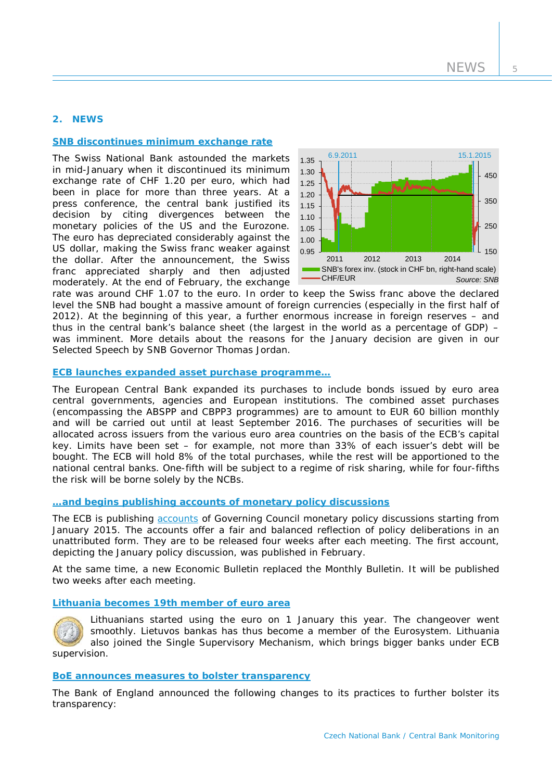# **2. NEWS**

#### **[SNB discontinues minimum exchange rate](http://www.snb.ch/en/mmr/reference/pre_20150115/source/pre_20150115.en.pdf)**

The Swiss National Bank astounded the markets in mid-January when it discontinued its minimum exchange rate of CHF 1.20 per euro, which had been in place for more than three years. At a press conference, the central bank justified its decision by citing divergences between the monetary policies of the US and the Eurozone. The euro has depreciated considerably against the US dollar, making the Swiss franc weaker against the dollar. After the announcement, the Swiss franc appreciated sharply and then adjusted moderately. At the end of February, the exchange



rate was around CHF 1.07 to the euro. In order to keep the Swiss franc above the declared level the SNB had bought a massive amount of foreign currencies (especially in the first half of 2012). At the beginning of this year, a further enormous increase in foreign reserves – and thus in the central bank's balance sheet (the largest in the world as a percentage of GDP) – was imminent. More details about the reasons for the January decision are given in our *Selected Speech* by SNB Governor Thomas Jordan.

#### **ECB launches [expanded asset purchase programme…](https://www.ecb.europa.eu/press/pr/date/2015/html/pr150122_1.en.html)**

The European Central Bank expanded its purchases to include bonds issued by euro area central governments, agencies and European institutions. The combined asset purchases (encompassing the ABSPP and CBPP3 programmes) are to amount to EUR 60 billion monthly and will be carried out until at least September 2016. The purchases of securities will be allocated across issuers from the various euro area countries on the basis of the ECB's capital key. Limits have been set – for example, not more than 33% of each issuer's debt will be bought. The ECB will hold 8% of the total purchases, while the rest will be apportioned to the national central banks. One-fifth will be subject to a regime of risk sharing, while for four-fifths the risk will be borne solely by the NCBs.

#### **…and begins [publishing accounts of monetary policy discussions](https://www.ecb.europa.eu/press/pr/date/2014/html/pr141218.en.html)**

The ECB is publishing **[accounts](https://www.ecb.europa.eu/press/accounts/2015/html/index.en.html)** of Governing Council monetary policy discussions starting from January 2015. The accounts offer a fair and balanced reflection of policy deliberations in an unattributed form. They are to be released four weeks after each meeting. The first account, depicting the January policy discussion, was published in February.

At the same time, a new Economic Bulletin replaced the Monthly Bulletin. It will be published two weeks after each meeting.

#### **[Lithuania becomes 19th member of](https://www.ecb.europa.eu/press/pr/date/2015/html/pr150101.en.html) euro area**



Lithuanians started using the euro on 1 January this year. The changeover went smoothly. Lietuvos bankas has thus become a member of the Eurosystem. Lithuania also joined the Single Supervisory Mechanism, which brings bigger banks under ECB supervision.

#### **BoE announces [measures to bolster transparency](http://www.bankofengland.co.uk/publications/Pages/news/2014/168.aspx)**

The Bank of England announced the following changes to its practices to further bolster its transparency: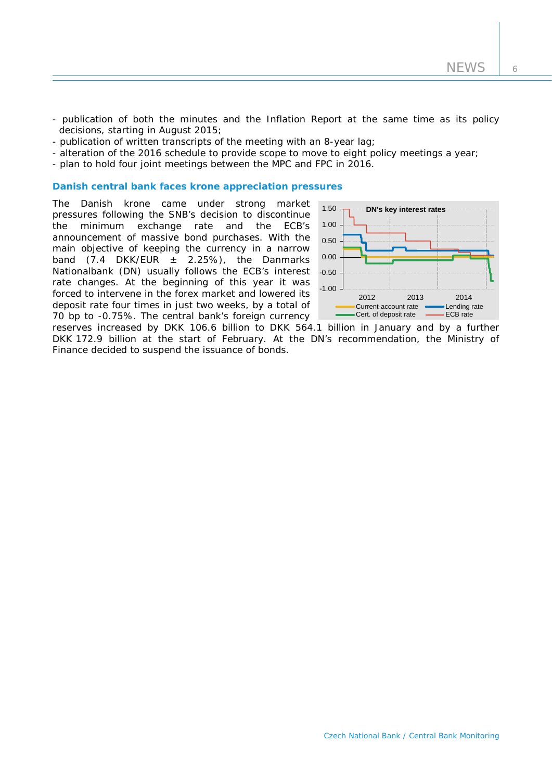- publication of both the minutes and the Inflation Report at the same time as its policy decisions, starting in August 2015;
- publication of written transcripts of the meeting with an 8-year lag;
- alteration of the 2016 schedule to provide scope to move to eight policy meetings a year;
- plan to hold four joint meetings between the MPC and FPC in 2016.

#### **Danish central bank faces krone appreciation pressures**

The Danish krone came under strong market pressures following the SNB's decision to discontinue the minimum exchange rate and the ECB's announcement of massive bond purchases. With the main objective of keeping the currency in a narrow band  $(7.4 \text{DKK/EUR} \pm 2.25\%)$ , the Danmarks Nationalbank (DN) usually follows the ECB's interest rate changes. At the beginning of this year it was forced to intervene in the forex market and lowered its deposit rate four times in just two weeks, by a total of 70 bp to -0.75%. The central bank's foreign currency



reserves increased by DKK 106.6 billion to DKK 564.1 billion in January and by a further DKK 172.9 billion at the start of February. At the DN's recommendation, the Ministry of Finance decided to suspend the issuance of bonds.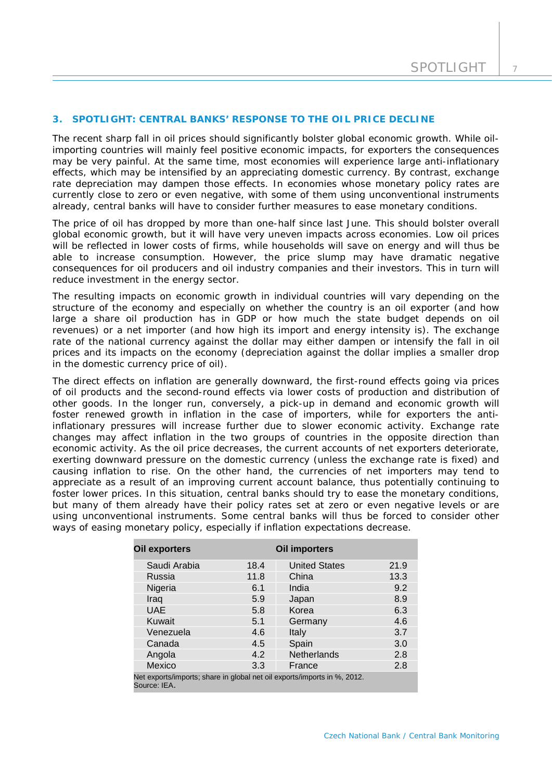#### **3. SPOTLIGHT: CENTRAL BANKS' RESPONSE TO THE OIL PRICE DECLINE**

*The recent sharp fall in oil prices should significantly bolster global economic growth. While oilimporting countries will mainly feel positive economic impacts, for exporters the consequences may be very painful. At the same time, most economies will experience large anti-inflationary effects, which may be intensified by an appreciating domestic currency. By contrast, exchange rate depreciation may dampen those effects. In economies whose monetary policy rates are currently close to zero or even negative, with some of them using unconventional instruments already, central banks will have to consider further measures to ease monetary conditions.*

The price of oil has dropped by more than one-half since last June. This should bolster overall global economic growth, but it will have very uneven impacts across economies. Low oil prices will be reflected in lower costs of firms, while households will save on energy and will thus be able to increase consumption. However, the price slump may have dramatic negative consequences for oil producers and oil industry companies and their investors. This in turn will reduce investment in the energy sector.

The resulting impacts on economic growth in individual countries will vary depending on the structure of the economy and especially on whether the country is an oil exporter (and how large a share oil production has in GDP or how much the state budget depends on oil revenues) or a net importer (and how high its import and energy intensity is). The exchange rate of the national currency against the dollar may either dampen or intensify the fall in oil prices and its impacts on the economy (depreciation against the dollar implies a smaller drop in the domestic currency price of oil).

The direct effects on inflation are generally downward, the first-round effects going via prices of oil products and the second-round effects via lower costs of production and distribution of other goods. In the longer run, conversely, a pick-up in demand and economic growth will foster renewed growth in inflation in the case of importers, while for exporters the antiinflationary pressures will increase further due to slower economic activity. Exchange rate changes may affect inflation in the two groups of countries in the opposite direction than economic activity. As the oil price decreases, the current accounts of net exporters deteriorate, exerting downward pressure on the domestic currency (unless the exchange rate is fixed) and causing inflation to rise. On the other hand, the currencies of net importers may tend to appreciate as a result of an improving current account balance, thus potentially continuing to foster lower prices. In this situation, central banks should try to ease the monetary conditions, but many of them already have their policy rates set at zero or even negative levels or are using unconventional instruments. Some central banks will thus be forced to consider other ways of easing monetary policy, especially if inflation expectations decrease.

| <b>Oil exporters</b>                                                                     |      | Oil importers        |      |  |
|------------------------------------------------------------------------------------------|------|----------------------|------|--|
| Saudi Arabia                                                                             | 18.4 | <b>United States</b> | 21.9 |  |
| Russia                                                                                   | 11.8 | China                | 13.3 |  |
| Nigeria                                                                                  | 6.1  | India                | 9.2  |  |
| Iraq                                                                                     | 5.9  | Japan                | 8.9  |  |
| <b>UAE</b>                                                                               | 5.8  | Korea                | 6.3  |  |
| Kuwait                                                                                   | 5.1  | Germany              | 4.6  |  |
| Venezuela                                                                                | 4.6  | Italy                | 3.7  |  |
| Canada                                                                                   | 4.5  | Spain                | 3.0  |  |
| Angola                                                                                   | 4.2  | <b>Netherlands</b>   | 2.8  |  |
| Mexico                                                                                   | 3.3  | France               | 2.8  |  |
| Net exports/imports; share in global net oil exports/imports in %, 2012.<br>Source: IEA. |      |                      |      |  |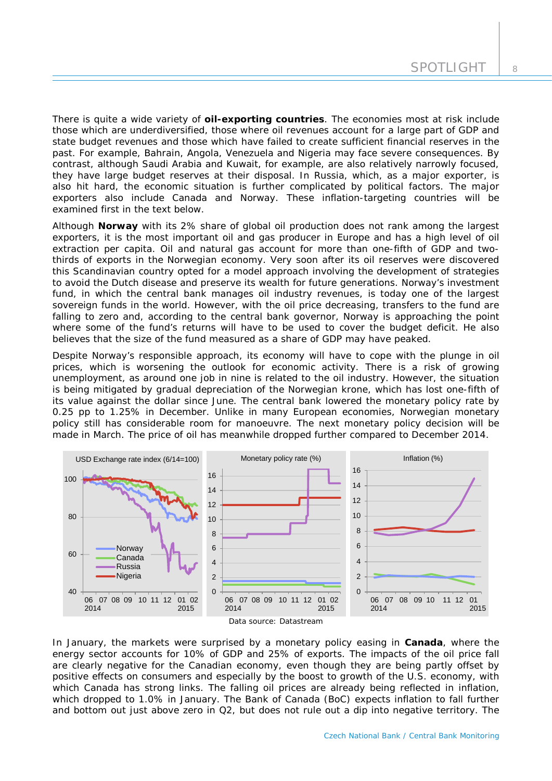There is quite a wide variety of *oil-exporting countries*. The economies most at risk include those which are underdiversified, those where oil revenues account for a large part of GDP and state budget revenues and those which have failed to create sufficient financial reserves in the past. For example, Bahrain, Angola, Venezuela and Nigeria may face severe consequences. By contrast, although Saudi Arabia and Kuwait, for example, are also relatively narrowly focused, they have large budget reserves at their disposal. In Russia, which, as a major exporter, is also hit hard, the economic situation is further complicated by political factors. The major exporters also include Canada and Norway. These inflation-targeting countries will be examined first in the text below.

Although **Norway** with its 2% share of global oil production does not rank among the largest exporters, it is the most important oil and gas producer in Europe and has a high level of oil extraction per capita. Oil and natural gas account for more than one-fifth of GDP and twothirds of exports in the Norwegian economy. Very soon after its oil reserves were discovered this Scandinavian country opted for a model approach involving the development of strategies to avoid the Dutch disease and preserve its wealth for future generations. Norway's investment fund, in which the central bank manages oil industry revenues, is today one of the largest sovereign funds in the world. However, with the oil price decreasing, transfers to the fund are falling to zero and, according to the central bank governor, Norway is approaching the point where some of the fund's returns will have to be used to cover the budget deficit. He also believes that the size of the fund measured as a share of GDP may have peaked.

Despite Norway's responsible approach, its economy will have to cope with the plunge in oil prices, which is worsening the outlook for economic activity. There is a risk of growing unemployment, as around one job in nine is related to the oil industry. However, the situation is being mitigated by gradual depreciation of the Norwegian krone, which has lost one-fifth of its value against the dollar since June. The central bank lowered the monetary policy rate by 0.25 pp to 1.25% in December. Unlike in many European economies, Norwegian monetary policy still has considerable room for manoeuvre. The next monetary policy decision will be made in March. The price of oil has meanwhile dropped further compared to December 2014.



In January, the markets were surprised by a monetary policy easing in **Canada**, where the energy sector accounts for 10% of GDP and 25% of exports. The impacts of the oil price fall are clearly negative for the Canadian economy, even though they are being partly offset by positive effects on consumers and especially by the boost to growth of the U.S. economy, with which Canada has strong links. The falling oil prices are already being reflected in inflation, which dropped to 1.0% in January. The Bank of Canada (BoC) expects inflation to fall further and bottom out just above zero in Q2, but does not rule out a dip into negative territory. The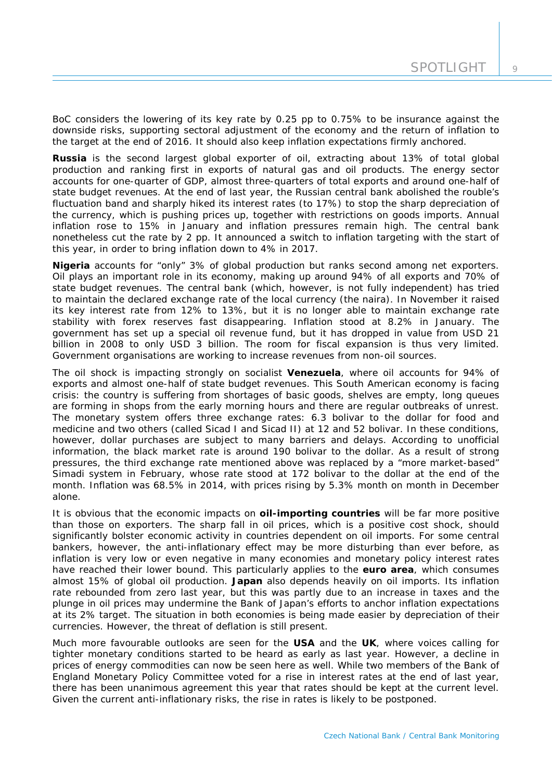BoC considers the lowering of its key rate by 0.25 pp to 0.75% to be insurance against the downside risks, supporting sectoral adjustment of the economy and the return of inflation to the target at the end of 2016. It should also keep inflation expectations firmly anchored.

**Russia** is the second largest global exporter of oil, extracting about 13% of total global production and ranking first in exports of natural gas and oil products. The energy sector accounts for one-quarter of GDP, almost three-quarters of total exports and around one-half of state budget revenues. At the end of last year, the Russian central bank abolished the rouble's fluctuation band and sharply hiked its interest rates (to 17%) to stop the sharp depreciation of the currency, which is pushing prices up, together with restrictions on goods imports. Annual inflation rose to 15% in January and inflation pressures remain high. The central bank nonetheless cut the rate by 2 pp. It announced a switch to inflation targeting with the start of this year, in order to bring inflation down to 4% in 2017.

**Nigeria** accounts for "only" 3% of global production but ranks second among net exporters. Oil plays an important role in its economy, making up around 94% of all exports and 70% of state budget revenues. The central bank (which, however, is not fully independent) has tried to maintain the declared exchange rate of the local currency (the naira). In November it raised its key interest rate from 12% to 13%, but it is no longer able to maintain exchange rate stability with forex reserves fast disappearing. Inflation stood at 8.2% in January. The government has set up a special oil revenue fund, but it has dropped in value from USD 21 billion in 2008 to only USD 3 billion. The room for fiscal expansion is thus very limited. Government organisations are working to increase revenues from non-oil sources.

The oil shock is impacting strongly on socialist **Venezuela**, where oil accounts for 94% of exports and almost one-half of state budget revenues. This South American economy is facing crisis: the country is suffering from shortages of basic goods, shelves are empty, long queues are forming in shops from the early morning hours and there are regular outbreaks of unrest. The monetary system offers three exchange rates: 6.3 bolivar to the dollar for food and medicine and two others (called Sicad I and Sicad II) at 12 and 52 bolivar. In these conditions, however, dollar purchases are subject to many barriers and delays. According to unofficial information, the black market rate is around 190 bolivar to the dollar. As a result of strong pressures, the third exchange rate mentioned above was replaced by a "more market-based" Simadi system in February, whose rate stood at 172 bolivar to the dollar at the end of the month. Inflation was 68.5% in 2014, with prices rising by 5.3% month on month in December alone.

It is obvious that the economic impacts on *oil-importing countries* will be far more positive than those on exporters. The sharp fall in oil prices, which is a positive cost shock, should significantly bolster economic activity in countries dependent on oil imports. For some central bankers, however, the anti-inflationary effect may be more disturbing than ever before, as inflation is very low or even negative in many economies and monetary policy interest rates have reached their lower bound. This particularly applies to the **euro area**, which consumes almost 15% of global oil production. **Japan** also depends heavily on oil imports. Its inflation rate rebounded from zero last year, but this was partly due to an increase in taxes and the plunge in oil prices may undermine the Bank of Japan's efforts to anchor inflation expectations at its 2% target. The situation in both economies is being made easier by depreciation of their currencies. However, the threat of deflation is still present.

Much more favourable outlooks are seen for the **USA** and the **UK**, where voices calling for tighter monetary conditions started to be heard as early as last year. However, a decline in prices of energy commodities can now be seen here as well. While two members of the Bank of England Monetary Policy Committee voted for a rise in interest rates at the end of last year, there has been unanimous agreement this year that rates should be kept at the current level. Given the current anti-inflationary risks, the rise in rates is likely to be postponed.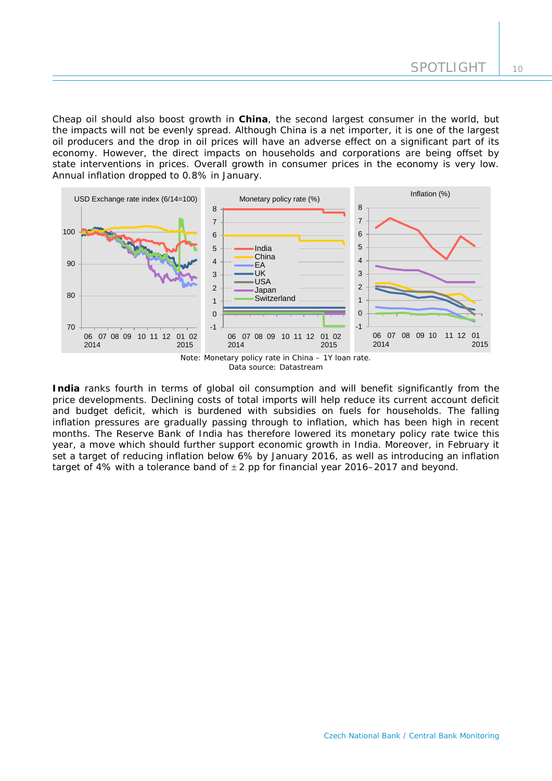Cheap oil should also boost growth in **China**, the second largest consumer in the world, but the impacts will not be evenly spread. Although China is a net importer, it is one of the largest oil producers and the drop in oil prices will have an adverse effect on a significant part of its economy. However, the direct impacts on households and corporations are being offset by state interventions in prices. Overall growth in consumer prices in the economy is very low. Annual inflation dropped to 0.8% in January.



*Data source: Datastream*

**India** ranks fourth in terms of global oil consumption and will benefit significantly from the price developments. Declining costs of total imports will help reduce its current account deficit and budget deficit, which is burdened with subsidies on fuels for households. The falling inflation pressures are gradually passing through to inflation, which has been high in recent months. The Reserve Bank of India has therefore lowered its monetary policy rate twice this year, a move which should further support economic growth in India. Moreover, in February it set a target of reducing inflation below 6% by January 2016, as well as introducing an inflation target of 4% with a tolerance band of  $\pm 2$  pp for financial year 2016–2017 and beyond.